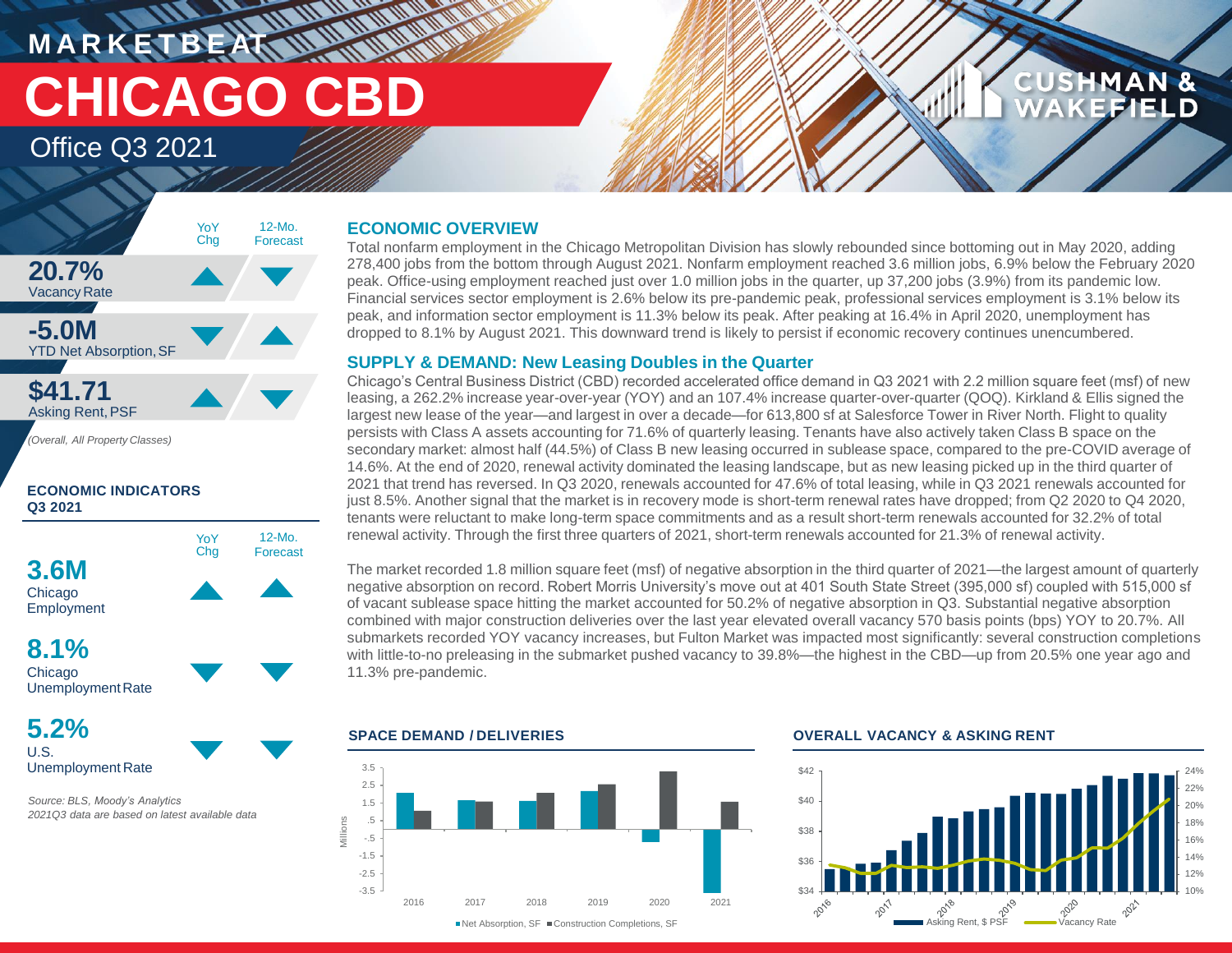**M A R K E T B E AT CHICAGO CBD**

### Office Q3 2021



*(Overall, All Property Classes)*

### **ECONOMIC INDICATORS Q3 2021**



**8.1%** Chicago Unemployment Rate

**5.2%** U.S. Unemployment Rate

*Source: BLS, Moody's Analytics 2021Q3 data are based on latest available data*

### **ECONOMIC OVERVIEW**

Total nonfarm employment in the Chicago Metropolitan Division has slowly rebounded since bottoming out in May 2020, adding 278,400 jobs from the bottom through August 2021. Nonfarm employment reached 3.6 million jobs, 6.9% below the February 2020 peak. Office-using employment reached just over 1.0 million jobs in the quarter, up 37,200 jobs (3.9%) from its pandemic low. Financial services sector employment is 2.6% below its pre-pandemic peak, professional services employment is 3.1% below its peak, and information sector employment is 11.3% below its peak. After peaking at 16.4% in April 2020, unemployment has dropped to 8.1% by August 2021. This downward trend is likely to persist if economic recovery continues unencumbered.

### **SUPPLY & DEMAND: New Leasing Doubles in the Quarter**

Chicago's Central Business District (CBD) recorded accelerated office demand in Q3 2021 with 2.2 million square feet (msf) of new leasing, a 262.2% increase year-over-year (YOY) and an 107.4% increase quarter-over-quarter (QOQ). Kirkland & Ellis signed the largest new lease of the year—and largest in over a decade—for 613,800 sf at Salesforce Tower in River North. Flight to quality persists with Class A assets accounting for 71.6% of quarterly leasing. Tenants have also actively taken Class B space on the secondary market: almost half (44.5%) of Class B new leasing occurred in sublease space, compared to the pre-COVID average of 14.6%. At the end of 2020, renewal activity dominated the leasing landscape, but as new leasing picked up in the third quarter of 2021 that trend has reversed. In Q3 2020, renewals accounted for 47.6% of total leasing, while in Q3 2021 renewals accounted for just 8.5%. Another signal that the market is in recovery mode is short-term renewal rates have dropped; from Q2 2020 to Q4 2020, tenants were reluctant to make long-term space commitments and as a result short-term renewals accounted for 32.2% of total renewal activity. Through the first three quarters of 2021, short-term renewals accounted for 21.3% of renewal activity.

The market recorded 1.8 million square feet (msf) of negative absorption in the third quarter of 2021—the largest amount of quarterly negative absorption on record. Robert Morris University's move out at 401 South State Street (395,000 sf) coupled with 515,000 sf of vacant sublease space hitting the market accounted for 50.2% of negative absorption in Q3. Substantial negative absorption combined with major construction deliveries over the last year elevated overall vacancy 570 basis points (bps) YOY to 20.7%. All submarkets recorded YOY vacancy increases, but Fulton Market was impacted most significantly: several construction completions with little-to-no preleasing in the submarket pushed vacancy to 39.8%—the highest in the CBD—up from 20.5% one year ago and 11.3% pre-pandemic.



### **SPACE DEMAND / DELIVERIES OVERALL VACANCY & ASKING RENT**



**CUSHMAN &** 

FIELD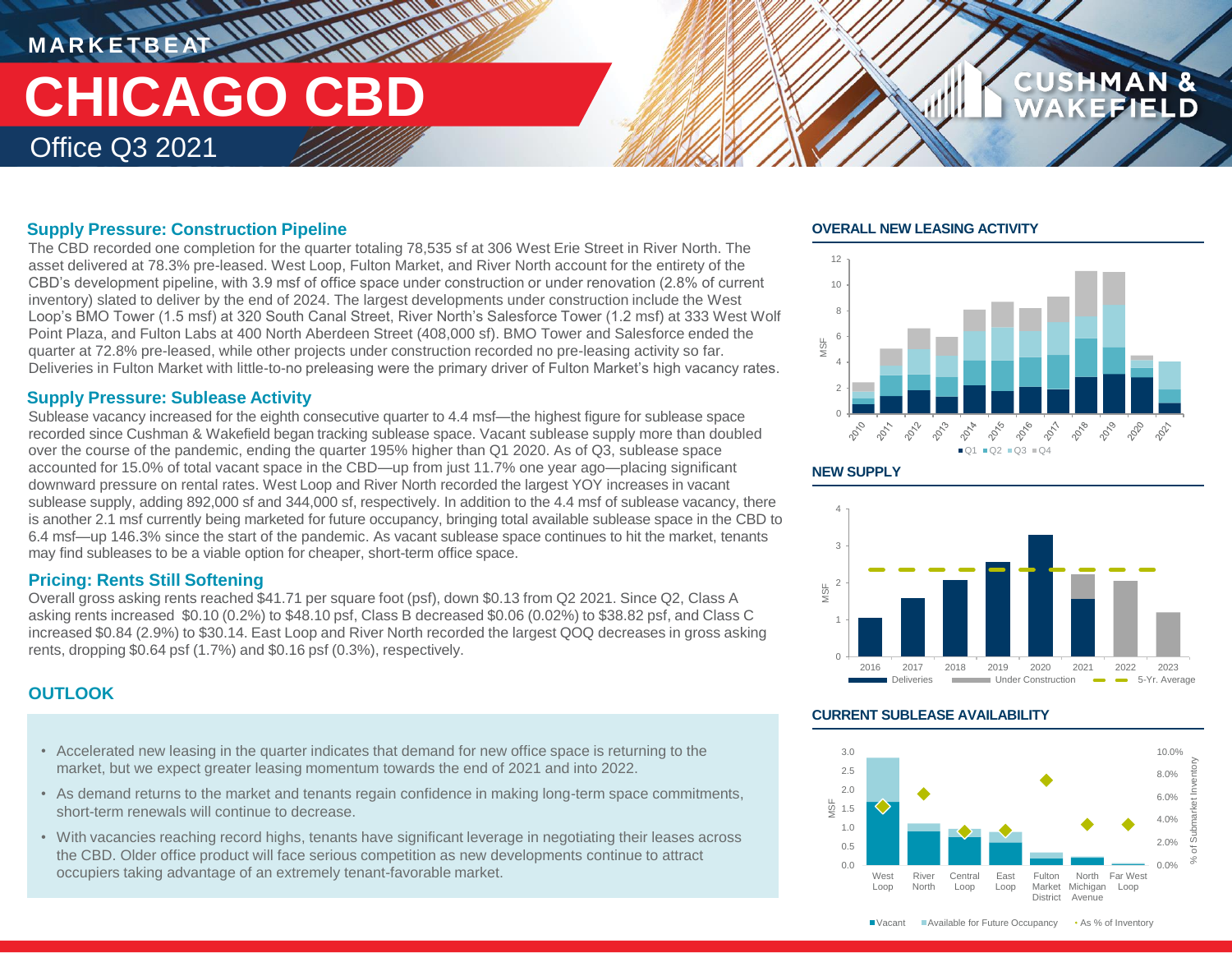## **MARKETBEAT 11 11 11 11 11 11** Office Q3 2021 **CHICAGO CBD**

### **Supply Pressure: Construction Pipeline**

The CBD recorded one completion for the quarter totaling 78,535 sf at 306 West Erie Street in River North. The asset delivered at 78.3% pre-leased. West Loop, Fulton Market, and River North account for the entirety of the CBD's development pipeline, with 3.9 msf of office space under construction or under renovation (2.8% of current inventory) slated to deliver by the end of 2024. The largest developments under construction include the West Loop's BMO Tower (1.5 msf) at 320 South Canal Street, River North's Salesforce Tower (1.2 msf) at 333 West Wolf Point Plaza, and Fulton Labs at 400 North Aberdeen Street (408,000 sf). BMO Tower and Salesforce ended the quarter at 72.8% pre-leased, while other projects under construction recorded no pre-leasing activity so far. Deliveries in Fulton Market with little-to-no preleasing were the primary driver of Fulton Market's high vacancy rates.

### **Supply Pressure: Sublease Activity**

Sublease vacancy increased for the eighth consecutive quarter to 4.4 msf—the highest figure for sublease space recorded since Cushman & Wakefield began tracking sublease space. Vacant sublease supply more than doubled over the course of the pandemic, ending the quarter 195% higher than Q1 2020. As of Q3, sublease space accounted for 15.0% of total vacant space in the CBD—up from just 11.7% one year ago—placing significant downward pressure on rental rates. West Loop and River North recorded the largest YOY increases in vacant sublease supply, adding 892,000 sf and 344,000 sf, respectively. In addition to the 4.4 msf of sublease vacancy, there is another 2.1 msf currently being marketed for future occupancy, bringing total available sublease space in the CBD to 6.4 msf—up 146.3% since the start of the pandemic. As vacant sublease space continues to hit the market, tenants may find subleases to be a viable option for cheaper, short-term office space.

### **Pricing: Rents Still Softening**

Overall gross asking rents reached \$41.71 per square foot (psf), down \$0.13 from Q2 2021. Since Q2, Class A asking rents increased \$0.10 (0.2%) to \$48.10 psf, Class B decreased \$0.06 (0.02%) to \$38.82 psf, and Class C increased \$0.84 (2.9%) to \$30.14. East Loop and River North recorded the largest QOQ decreases in gross asking rents, dropping \$0.64 psf (1.7%) and \$0.16 psf (0.3%), respectively.

### **OUTLOOK**

- Accelerated new leasing in the quarter indicates that demand for new office space is returning to the market, but we expect greater leasing momentum towards the end of 2021 and into 2022.
- As demand returns to the market and tenants regain confidence in making long-term space commitments, short-term renewals will continue to decrease.
- With vacancies reaching record highs, tenants have significant leverage in negotiating their leases across the CBD. Older office product will face serious competition as new developments continue to attract occupiers taking advantage of an extremely tenant-favorable market.

### **OVERALL NEW LEASING ACTIVITY**



**CUSHMAN &** 





### **CURRENT SUBLEASE AVAILABILITY**

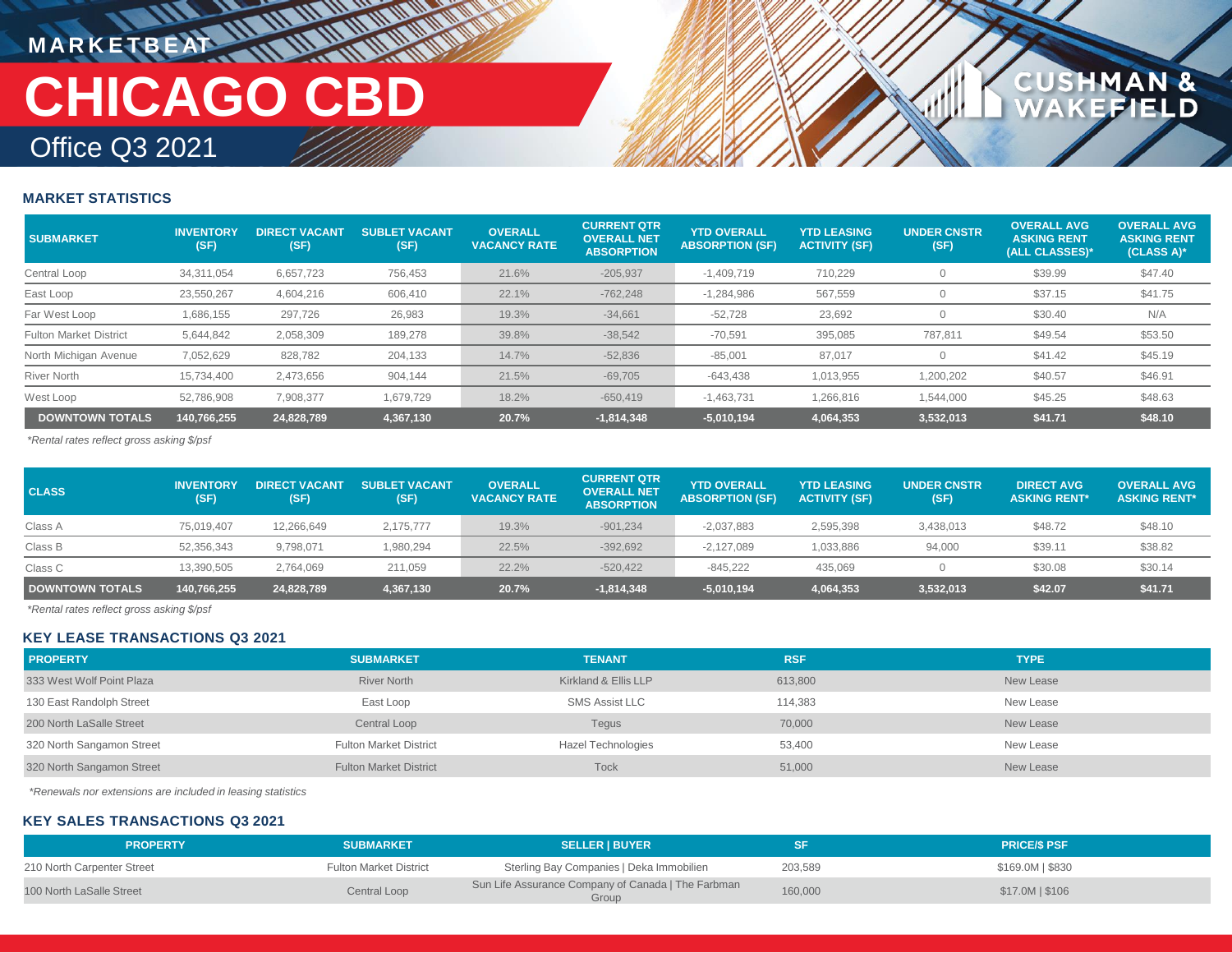## **MARKETBEAT IN IN IN INCHERE** Office Q3 2021 **CHICAGO CBD**

## **CUSHMAN &**<br>WAKEFIELD

### **MARKET STATISTICS**

| <b>SUBMARKET</b>              | <b>INVENTORY</b><br>(SF) | <b>DIRECT VACANT</b><br>(SF) | <b>SUBLET VACANT.</b><br>(SF) | <b>OVERALL</b><br><b>VACANCY RATE</b> | <b>CURRENT QTR</b><br><b>OVERALL NET</b><br><b>ABSORPTION</b> | <b>YTD OVERALL</b><br><b>ABSORPTION (SF)</b> | <b>YTD LEASING</b><br><b>ACTIVITY (SF)</b> | <b>UNDER CNSTR</b><br>(SF) | <b>OVERALL AVG</b><br><b>ASKING RENT</b><br>(ALL CLASSES)* | <b>OVERALL AVG</b><br><b>ASKING RENT</b><br>$(CLASS A)*$ |
|-------------------------------|--------------------------|------------------------------|-------------------------------|---------------------------------------|---------------------------------------------------------------|----------------------------------------------|--------------------------------------------|----------------------------|------------------------------------------------------------|----------------------------------------------------------|
| Central Loop                  | 34.311.054               | 6.657.723                    | 756,453                       | 21.6%                                 | $-205,937$                                                    | $-1.409.719$                                 | 710.229                                    |                            | \$39.99                                                    | \$47.40                                                  |
| East Loop                     | 23.550.267               | 4.604.216                    | 606.410                       | 22.1%                                 | $-762.248$                                                    | $-1.284.986$                                 | 567.559                                    |                            | \$37.15                                                    | \$41.75                                                  |
| Far West Loop                 | 1,686,155                | 297.726                      | 26,983                        | 19.3%                                 | $-34,661$                                                     | $-52,728$                                    | 23,692                                     |                            | \$30.40                                                    | N/A                                                      |
| <b>Fulton Market District</b> | 5,644,842                | 2,058,309                    | 189,278                       | 39.8%                                 | $-38,542$                                                     | $-70,591$                                    | 395,085                                    | 787,811                    | \$49.54                                                    | \$53.50                                                  |
| North Michigan Avenue         | 7,052,629                | 828.782                      | 204,133                       | 14.7%                                 | $-52,836$                                                     | $-85,001$                                    | 87.017                                     |                            | \$41.42                                                    | \$45.19                                                  |
| <b>River North</b>            | 15.734.400               | 2.473.656                    | 904.144                       | 21.5%                                 | $-69,705$                                                     | $-643,438$                                   | 1.013.955                                  | ,200,202                   | \$40.57                                                    | \$46.91                                                  |
| West Loop                     | 52,786,908               | 7,908,377                    | 1,679,729                     | 18.2%                                 | $-650,419$                                                    | $-1,463,731$                                 | 1,266,816                                  | 1,544,000                  | \$45.25                                                    | \$48.63                                                  |
| <b>DOWNTOWN TOTALS</b>        | 140.766.255              | 24.828.789                   | 4.367.130                     | 20.7%                                 | $-1,814,348$                                                  | $-5,010,194$                                 | 4,064,353                                  | 3.532.013                  | \$41.71                                                    | \$48.10                                                  |

*\*Rental rates reflect gross asking \$/psf*

| <b>CLASS</b>           | <b>INVENTORY</b><br>(SF) | <b>DIRECT VACANT</b><br>(SF) | <b>SUBLET VACANT</b><br>(SF) | <b>OVERALL</b><br><b>VACANCY RATE</b> | <b>CURRENT QTR</b><br><b>OVERALL NET</b><br><b>ABSORPTION</b> | <b>YTD OVERALL</b><br><b>ABSORPTION (SF)</b> | <b>YTD LEASING</b><br><b>ACTIVITY (SF)</b> | <b>UNDER CNSTR</b><br>(SF) | <b>DIRECT AVG</b><br><b>ASKING RENT*</b> | <b>OVERALL AVG</b><br><b>ASKING RENT*</b> |
|------------------------|--------------------------|------------------------------|------------------------------|---------------------------------------|---------------------------------------------------------------|----------------------------------------------|--------------------------------------------|----------------------------|------------------------------------------|-------------------------------------------|
| Class A                | 75.019.407               | 12.266.649                   | 2.175.777                    | 19.3%                                 | $-901.234$                                                    | $-2,037,883$                                 | 2,595,398                                  | 3,438,013                  | \$48.72                                  | \$48.10                                   |
| Class B                | 52,356,343               | 9,798,071                    | 1,980,294                    | 22.5%                                 | $-392,692$                                                    | $-2,127,089$                                 | 1,033,886                                  | 94,000                     | \$39.11                                  | \$38.82                                   |
| Class C                | 13,390,505               | 2.764.069                    | 211,059                      | 22.2%                                 | $-520.422$                                                    | $-845.222$                                   | 435.069                                    |                            | \$30.08                                  | \$30.14                                   |
| <b>DOWNTOWN TOTALS</b> | 140,766,255              | 24,828,789                   | 4,367,130                    | 20.7%                                 | $-1,814,348$                                                  | $-5,010,194$                                 | 4,064,353                                  | 3,532,013                  | \$42.07                                  | \$41.71                                   |

*\*Rental rates reflect gross asking \$/psf*

### **KEY LEASE TRANSACTIONS Q3 2021**

| <b>PROPERTY</b>           | <b>SUBMARKET</b>              | <b>TENANT</b>             | <b>RSF</b> | <b>TYPE</b> |
|---------------------------|-------------------------------|---------------------------|------------|-------------|
| 333 West Wolf Point Plaza | <b>River North</b>            | Kirkland & Ellis LLP      | 613,800    | New Lease   |
| 130 East Randolph Street  | East Loop                     | <b>SMS Assist LLC</b>     | 114.383    | New Lease   |
| 200 North LaSalle Street  | Central Loop                  | Tegus                     | 70,000     | New Lease   |
| 320 North Sangamon Street | <b>Fulton Market District</b> | <b>Hazel Technologies</b> | 53,400     | New Lease   |
| 320 North Sangamon Street | <b>Fulton Market District</b> | Tock                      | 51,000     | New Lease   |

*\*Renewals nor extensions are included in leasing statistics*

### **KEY SALES TRANSACTIONS Q3 2021**

| <b>PROPERTY</b>            | <b>SUBMARKET</b>              | <b>SELLER I BUYER</b>                                       |         | <b>PRICE/S PSF</b> |
|----------------------------|-------------------------------|-------------------------------------------------------------|---------|--------------------|
| 210 North Carpenter Street | <b>Fulton Market District</b> | Sterling Bay Companies   Deka Immobilien                    | 203,589 | \$169.0M   \$830   |
| 100 North LaSalle Street   | Central Loop                  | Sun Life Assurance Company of Canada   The Farbman<br>Group | 160,000 | $$17.0M$$   \$106  |